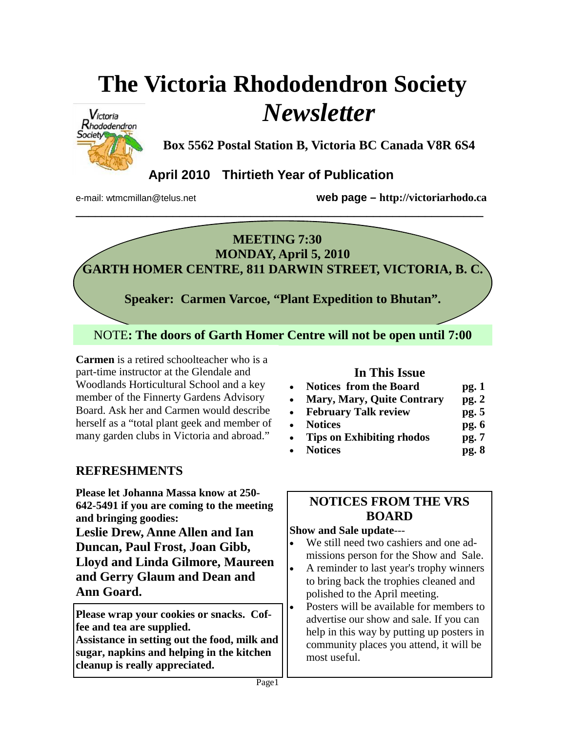# **The Victoria Rhododendron Society**  *Newsletter*



**Box 5562 Postal Station B, Victoria BC Canada V8R 6S4** 

## **April 2010 Thirtieth Year of Publication**

e-mail: wtmcmillan@telus.net **web page – http://victoriarhodo.ca**

# **MEETING 7:30**

**\_\_\_\_\_\_\_\_\_\_\_\_\_\_\_\_\_\_\_\_\_\_\_\_\_\_\_\_\_\_\_\_\_\_\_\_\_\_\_\_\_\_\_\_\_\_\_\_\_\_\_\_\_\_\_\_\_\_\_\_\_\_\_** 

**MONDAY, April 5, 2010 GARTH HOMER CENTRE, 811 DARWIN STREET, VICTORIA, B. C.** 

**Speaker: Carmen Varcoe, "Plant Expedition to Bhutan".** 

NOTE**: The doors of Garth Homer Centre will not be open until 7:00** 

**Carmen Varcoe**  part-time instructor at the Glendale and **Carmen** is a retired schoolteacher who is a Woodlands Horticultural School and a key member of the Finnerty Gardens Advisory Board. Ask her and Carmen would describe herself as a "total plant geek and member of many garden clubs in Victoria and abroad."

## **REFRESHMENTS**

**Please let Johanna Massa know at 250- 642-5491 if you are coming to the meeting and bringing goodies:**

**Leslie Drew, Anne Allen and Ian Duncan, Paul Frost, Joan Gibb, Lloyd and Linda Gilmore, Maureen and Gerry Glaum and Dean and Ann Goard.** 

**Please wrap your cookies or snacks. Coffee and tea are supplied.** 

**Assistance in setting out the food, milk and sugar, napkins and helping in the kitchen cleanup is really appreciated.** 

## **In This Issue**

| <b>Notices from the Board</b> | pg. 1 |
|-------------------------------|-------|
| Mory Mory Ouite Controny no 2 |       |

- **Mary, Mary, Quite Contrary pg. 2**
- **February Talk review pg. 5**  • **Notices pg. 6**
- **Tips on Exhibiting rhodos pg. 7**
	- **Notices pg. 8**

## **NOTICES FROM THE VRS BOARD**

### **Show and Sale update**---

- We still need two cashiers and one admissions person for the Show and Sale.
- A reminder to last year's trophy winners to bring back the trophies cleaned and polished to the April meeting.
- Posters will be available for members to advertise our show and sale. If you can help in this way by putting up posters in community places you attend, it will be most useful.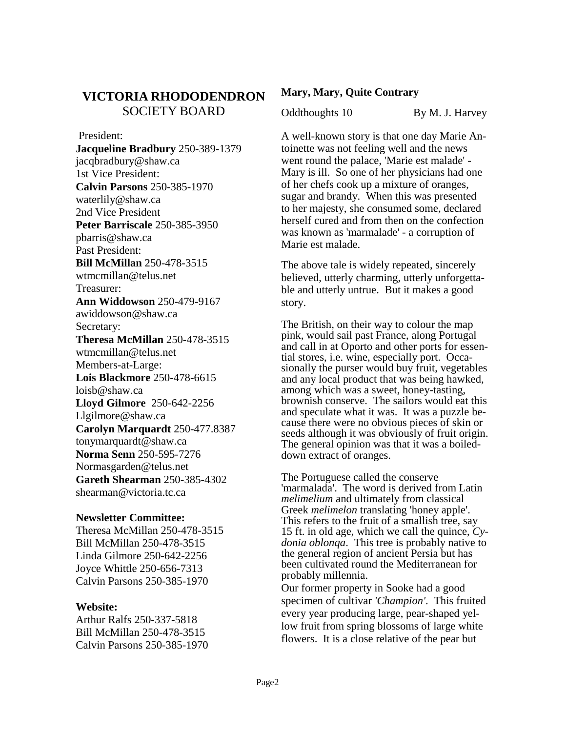## **VICTORIA RHODODENDRON**  SOCIETY BOARD

 President: **Jacqueline Bradbury** 250-389-1379 jacqbradbury@shaw.ca 1st Vice President: **Calvin Parsons** 250-385-1970 waterlily@shaw.ca 2nd Vice President **Peter Barriscale** 250-385-3950 pbarris@shaw.ca Past President: **Bill McMillan** 250-478-3515 wtmcmillan@telus.net Treasurer: **Ann Widdowson** 250-479-9167 awiddowson@shaw.ca Secretary: **Theresa McMillan** 250-478-3515 wtmcmillan@telus.net Members-at-Large: **Lois Blackmore** 250-478-6615 loisb@shaw.ca **Lloyd Gilmore** 250-642-2256 Llgilmore@shaw.ca **Carolyn Marquardt** 250-477.8387 tonymarquardt@shaw.ca **Norma Senn** 250-595-7276 Normasgarden@telus.net **Gareth Shearman** 250-385-4302 shearman@victoria.tc.ca

#### **Newsletter Committee:**

Theresa McMillan 250-478-3515 Bill McMillan 250-478-3515 Linda Gilmore 250-642-2256 Joyce Whittle 250-656-7313 Calvin Parsons 250-385-1970

#### **Website:**

Arthur Ralfs 250-337-5818 Bill McMillan 250-478-3515 Calvin Parsons 250-385-1970

#### **Mary, Mary, Quite Contrary**

Oddthoughts 10 By M. J. Harvey

A well-known story is that one day Marie Antoinette was not feeling well and the news went round the palace, 'Marie est malade' - Mary is ill. So one of her physicians had one of her chefs cook up a mixture of oranges, sugar and brandy. When this was presented to her majesty, she consumed some, declared herself cured and from then on the confection was known as 'marmalade' - a corruption of Marie est malade.

The above tale is widely repeated, sincerely believed, utterly charming, utterly unforgettable and utterly untrue. But it makes a good story.

The British, on their way to colour the map pink, would sail past France, along Portugal and call in at Oporto and other ports for essential stores, i.e. wine, especially port. Occasionally the purser would buy fruit, vegetables and any local product that was being hawked, among which was a sweet, honey-tasting, brownish conserve. The sailors would eat this and speculate what it was. It was a puzzle because there were no obvious pieces of skin or seeds although it was obviously of fruit origin. The general opinion was that it was a boileddown extract of oranges.

The Portuguese called the conserve 'marmalada'. The word is derived from Latin *melimelium* and ultimately from classical Greek *melimelon* translating 'honey apple'. This refers to the fruit of a smallish tree, say 15 ft. in old age, which we call the quince, *Cydonia oblonqa*. This tree is probably native to the general region of ancient Persia but has been cultivated round the Mediterranean for probably millennia.

Our former property in Sooke had a good specimen of cultivar *'Champion'*. This fruited every year producing large, pear-shaped yellow fruit from spring blossoms of large white flowers. It is a close relative of the pear but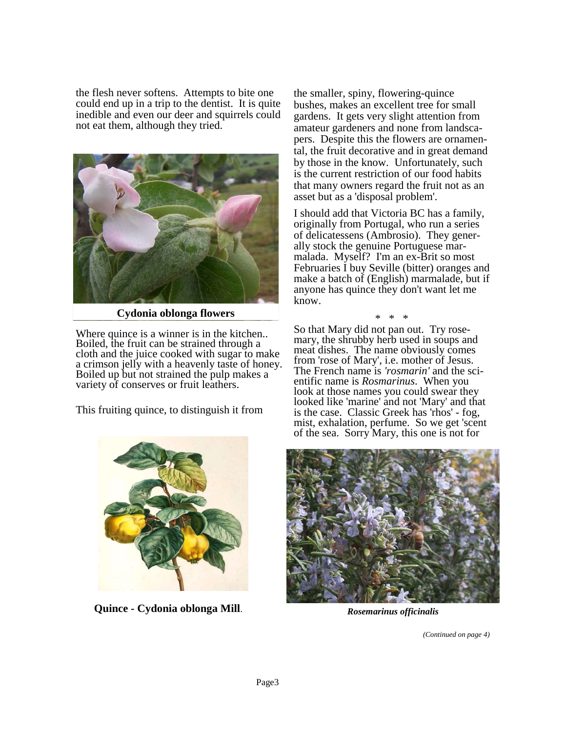the flesh never softens. Attempts to bite one could end up in a trip to the dentist. It is quite inedible and even our deer and squirrels could not eat them, although they tried.



**Cydonia oblonga flowers** 

Where quince is a winner is in the kitchen.. Boiled, the fruit can be strained through a cloth and the juice cooked with sugar to make a crimson jelly with a heavenly taste of honey. Boiled up but not strained the pulp makes a variety of conserves or fruit leathers.

This fruiting quince, to distinguish it from



**Quince - Cydonia oblonga Mill**. *Rosemarinus officinalis*

the smaller, spiny, flowering-quince bushes, makes an excellent tree for small gardens. It gets very slight attention from amateur gardeners and none from landscapers. Despite this the flowers are ornamental, the fruit decorative and in great demand by those in the know. Unfortunately, such is the current restriction of our food habits that many owners regard the fruit not as an asset but as a 'disposal problem'.

I should add that Victoria BC has a family, originally from Portugal, who run a series of delicatessens (Ambrosio). They generally stock the genuine Portuguese marmalada. Myself? I'm an ex-Brit so most Februaries I buy Seville (bitter) oranges and make a batch of (English) marmalade, but if anyone has quince they don't want let me know.

\* \* \*

So that Mary did not pan out. Try rosemary, the shrubby herb used in soups and meat dishes. The name obviously comes from 'rose of Mary', i.e. mother of Jesus. The French name is *'rosmarin'* and the scientific name is *Rosmarinus*. When you look at those names you could swear they looked like 'marine' and not 'Mary' and that is the case. Classic Greek has 'rhos' - fog, mist, exhalation, perfume. So we get 'scent of the sea. Sorry Mary, this one is not for



*(Continued on page 4)*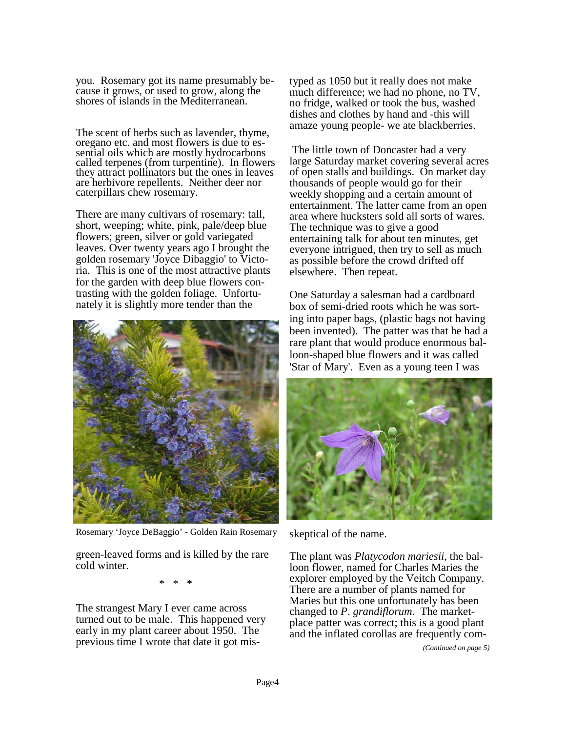you. Rosemary got its name presumably because it grows, or used to grow, along the shores of islands in the Mediterranean.

The scent of herbs such as lavender, thyme, oregano etc. and most flowers is due to essential oils which are mostly hydrocarbons called terpenes (from turpentine). In flowers they attract pollinators but the ones in leaves are herbivore repellents. Neither deer nor caterpillars chew rosemary.

There are many cultivars of rosemary: tall, short, weeping; white, pink, pale/deep blue flowers; green, silver or gold variegated leaves. Over twenty years ago I brought the golden rosemary 'Joyce Dibaggio' to Victoria. This is one of the most attractive plants for the garden with deep blue flowers contrasting with the golden foliage. Unfortunately it is slightly more tender than the



Rosemary 'Joyce DeBaggio' - Golden Rain Rosemary

green-leaved forms and is killed by the rare cold winter.

\* \* \*

The strangest Mary I ever came across turned out to be male. This happened very early in my plant career about 1950. The previous time I wrote that date it got mistyped as 1050 but it really does not make much difference; we had no phone, no TV, no fridge, walked or took the bus, washed dishes and clothes by hand and -this will amaze young people- we ate blackberries.

 The little town of Doncaster had a very large Saturday market covering several acres of open stalls and buildings. On market day thousands of people would go for their weekly shopping and a certain amount of entertainment. The latter came from an open area where hucksters sold all sorts of wares. The technique was to give a good entertaining talk for about ten minutes, get everyone intrigued, then try to sell as much as possible before the crowd drifted off elsewhere. Then repeat.

One Saturday a salesman had a cardboard box of semi-dried roots which he was sorting into paper bags, (plastic bags not having been invented). The patter was that he had a rare plant that would produce enormous balloon-shaped blue flowers and it was called 'Star of Mary'. Even as a young teen I was



skeptical of the name.

The plant was *Platycodon mariesii*, the balloon flower, named for Charles Maries the explorer employed by the Veitch Company. There are a number of plants named for Maries but this one unfortunately has been changed to *P*. *grandiflorum*. The marketplace patter was correct; this is a good plant and the inflated corollas are frequently com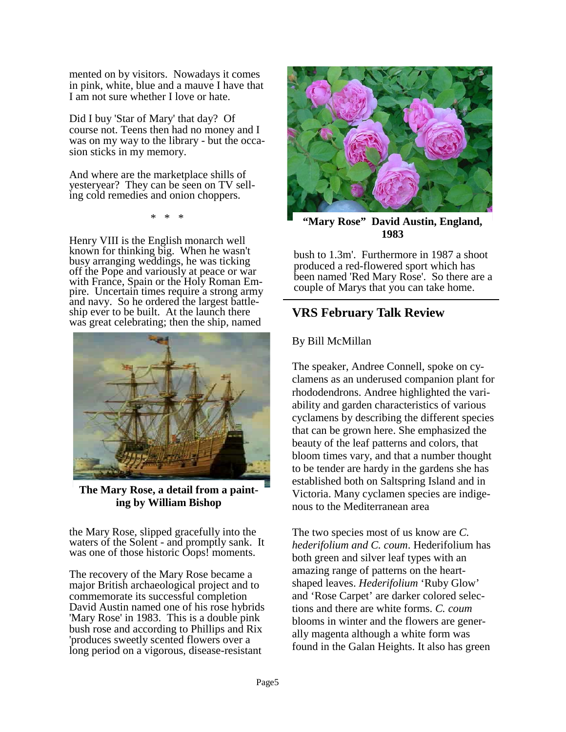mented on by visitors. Nowadays it comes in pink, white, blue and a mauve I have that I am not sure whether I love or hate.

Did I buy 'Star of Mary' that day? Of course not. Teens then had no money and I was on my way to the library - but the occasion sticks in my memory.

And where are the marketplace shills of yesteryear? They can be seen on TV selling cold remedies and onion choppers.

\* \* \*

Henry VIII is the English monarch well known for thinking big. When he wasn't busy arranging weddings, he was ticking off the Pope and variously at peace or war with France, Spain or the Holy Roman Empire. Uncertain times require a strong army and navy. So he ordered the largest battleship ever to be built. At the launch there was great celebrating; then the ship, named



**The Mary Rose, a detail from a painting by William Bishop** 

the Mary Rose, slipped gracefully into the waters of the Solent - and promptly sank. It was one of those historic Oops! moments.

The recovery of the Mary Rose became a major British archaeological project and to commemorate its successful completion David Austin named one of his rose hybrids 'Mary Rose' in 1983. This is a double pink bush rose and according to Phillips and Rix 'produces sweetly scented flowers over a long period on a vigorous, disease-resistant



**"Mary Rose" David Austin, England, 1983** 

bush to 1.3m'. Furthermore in 1987 a shoot produced a red-flowered sport which has been named 'Red Mary Rose'. So there are a couple of Marys that you can take home.

## **VRS February Talk Review**

#### By Bill McMillan

The speaker, Andree Connell, spoke on cyclamens as an underused companion plant for rhododendrons. Andree highlighted the variability and garden characteristics of various cyclamens by describing the different species that can be grown here. She emphasized the beauty of the leaf patterns and colors, that bloom times vary, and that a number thought to be tender are hardy in the gardens she has established both on Saltspring Island and in Victoria. Many cyclamen species are indigenous to the Mediterranean area

The two species most of us know are *C. hederifolium and C. coum*. Hederifolium has both green and silver leaf types with an amazing range of patterns on the heartshaped leaves. *Hederifolium* 'Ruby Glow' and 'Rose Carpet' are darker colored selections and there are white forms. *C. coum* blooms in winter and the flowers are generally magenta although a white form was found in the Galan Heights. It also has green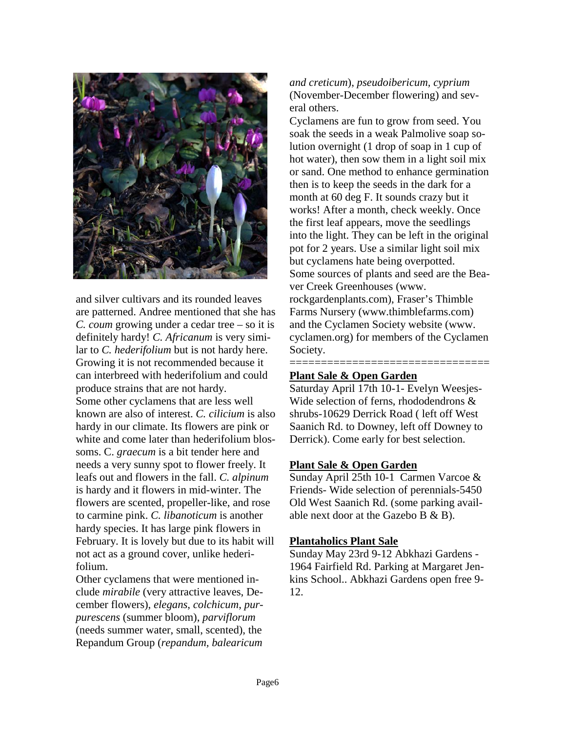

and silver cultivars and its rounded leaves are patterned. Andree mentioned that she has *C. coum* growing under a cedar tree – so it is definitely hardy! *C. Africanum* is very similar to *C. hederifolium* but is not hardy here. Growing it is not recommended because it can interbreed with hederifolium and could produce strains that are not hardy. Some other cyclamens that are less well known are also of interest. *C. cilicium* is also hardy in our climate. Its flowers are pink or white and come later than hederifolium blossoms. C. *graecum* is a bit tender here and needs a very sunny spot to flower freely. It leafs out and flowers in the fall. *C. alpinum* is hardy and it flowers in mid-winter. The flowers are scented, propeller-like, and rose to carmine pink. *C. libanoticum* is another hardy species. It has large pink flowers in February. It is lovely but due to its habit will not act as a ground cover, unlike hederifolium.

Other cyclamens that were mentioned include *mirabile* (very attractive leaves, December flowers), *elegans*, *colchicum*, *purpurescens* (summer bloom), *parviflorum*  (needs summer water, small, scented), the Repandum Group (*repandum, balearicum*  *and creticum*), *pseudoibericum, cyprium* (November-December flowering) and several others.

Cyclamens are fun to grow from seed. You soak the seeds in a weak Palmolive soap solution overnight (1 drop of soap in 1 cup of hot water), then sow them in a light soil mix or sand. One method to enhance germination then is to keep the seeds in the dark for a month at 60 deg F. It sounds crazy but it works! After a month, check weekly. Once the first leaf appears, move the seedlings into the light. They can be left in the original pot for 2 years. Use a similar light soil mix but cyclamens hate being overpotted. Some sources of plants and seed are the Beaver Creek Greenhouses (www. rockgardenplants.com), Fraser's Thimble Farms Nursery (www.thimblefarms.com) and the Cyclamen Society website (www. cyclamen.org) for members of the Cyclamen Society.

#### **Plant Sale & Open Garden**

Saturday April 17th 10-1- Evelyn Weesjes-Wide selection of ferns, rhododendrons & shrubs-10629 Derrick Road ( left off West Saanich Rd. to Downey, left off Downey to Derrick). Come early for best selection.

=====================================

#### **Plant Sale & Open Garden**

Sunday April 25th 10-1 Carmen Varcoe & Friends- Wide selection of perennials-5450 Old West Saanich Rd. (some parking available next door at the Gazebo B & B).

#### **Plantaholics Plant Sale**

Sunday May 23rd 9-12 Abkhazi Gardens - 1964 Fairfield Rd. Parking at Margaret Jenkins School.. Abkhazi Gardens open free 9- 12.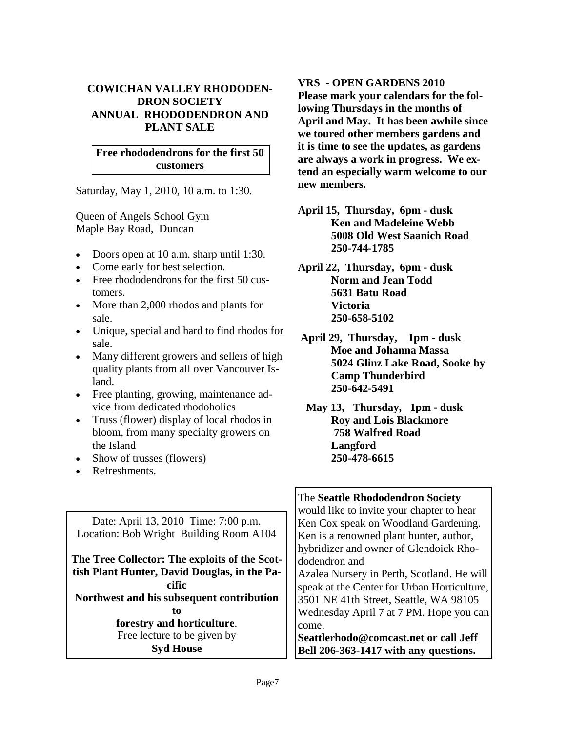#### **COWICHAN VALLEY RHODODEN-DRON SOCIETY ANNUAL RHODODENDRON AND PLANT SALE**

#### **Free rhododendrons for the first 50 customers**

Saturday, May 1, 2010, 10 a.m. to 1:30.

Queen of Angels School Gym Maple Bay Road, Duncan

- Doors open at 10 a.m. sharp until 1:30.
- Come early for best selection.
- Free rhododendrons for the first 50 customers.
- More than 2,000 rhodos and plants for sale.
- Unique, special and hard to find rhodos for sale.
- Many different growers and sellers of high quality plants from all over Vancouver Island.
- Free planting, growing, maintenance advice from dedicated rhodoholics
- Truss (flower) display of local rhodos in bloom, from many specialty growers on the Island
- Show of trusses (flowers)
- Refreshments.

Date: April 13, 2010 Time: 7:00 p.m. Location: Bob Wright Building Room A104

**The Tree Collector: The exploits of the Scottish Plant Hunter, David Douglas, in the Pacific Northwest and his subsequent contribution to forestry and horticulture**. Free lecture to be given by

**Syd House** 

#### **VRS - OPEN GARDENS 2010**

**Please mark your calendars for the following Thursdays in the months of April and May. It has been awhile since we toured other members gardens and it is time to see the updates, as gardens are always a work in progress. We extend an especially warm welcome to our new members.** 

- **April 15, Thursday, 6pm dusk Ken and Madeleine Webb 5008 Old West Saanich Road 250-744-1785**
- **April 22, Thursday, 6pm dusk Norm and Jean Todd 5631 Batu Road Victoria 250-658-5102**
- **April 29, Thursday, 1pm dusk Moe and Johanna Massa 5024 Glinz Lake Road, Sooke by Camp Thunderbird 250-642-5491**
- **May 13, Thursday, 1pm dusk Roy and Lois Blackmore 758 Walfred Road Langford 250-478-6615**

#### The **Seattle Rhododendron Society**  would like to invite your chapter to hear Ken Cox speak on Woodland Gardening. Ken is a renowned plant hunter, author, hybridizer and owner of Glendoick Rhododendron and Azalea Nursery in Perth, Scotland. He will speak at the Center for Urban Horticulture, 3501 NE 41th Street, Seattle, WA 98105 Wednesday April 7 at 7 PM. Hope you can come. **Seattlerhodo@comcast.net or call Jeff Bell 206-363-1417 with any questions.**